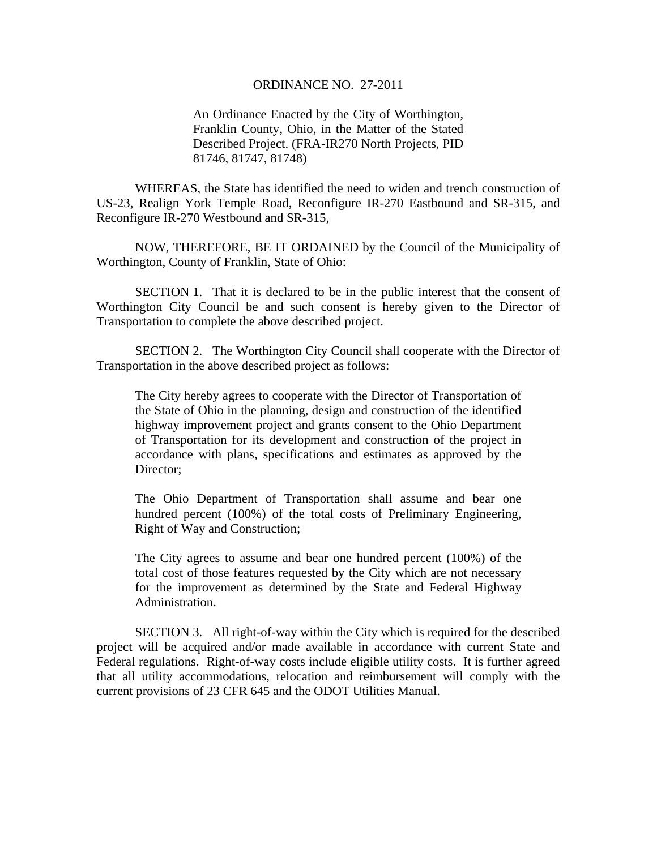## ORDINANCE NO. 27-2011

An Ordinance Enacted by the City of Worthington, Franklin County, Ohio, in the Matter of the Stated Described Project. (FRA-IR270 North Projects, PID 81746, 81747, 81748)

WHEREAS, the State has identified the need to widen and trench construction of US-23, Realign York Temple Road, Reconfigure IR-270 Eastbound and SR-315, and Reconfigure IR-270 Westbound and SR-315,

 NOW, THEREFORE, BE IT ORDAINED by the Council of the Municipality of Worthington, County of Franklin, State of Ohio:

SECTION 1. That it is declared to be in the public interest that the consent of Worthington City Council be and such consent is hereby given to the Director of Transportation to complete the above described project.

 SECTION 2. The Worthington City Council shall cooperate with the Director of Transportation in the above described project as follows:

The City hereby agrees to cooperate with the Director of Transportation of the State of Ohio in the planning, design and construction of the identified highway improvement project and grants consent to the Ohio Department of Transportation for its development and construction of the project in accordance with plans, specifications and estimates as approved by the Director:

The Ohio Department of Transportation shall assume and bear one hundred percent (100%) of the total costs of Preliminary Engineering, Right of Way and Construction;

The City agrees to assume and bear one hundred percent (100%) of the total cost of those features requested by the City which are not necessary for the improvement as determined by the State and Federal Highway Administration.

 SECTION 3. All right-of-way within the City which is required for the described project will be acquired and/or made available in accordance with current State and Federal regulations. Right-of-way costs include eligible utility costs. It is further agreed that all utility accommodations, relocation and reimbursement will comply with the current provisions of 23 CFR 645 and the ODOT Utilities Manual.